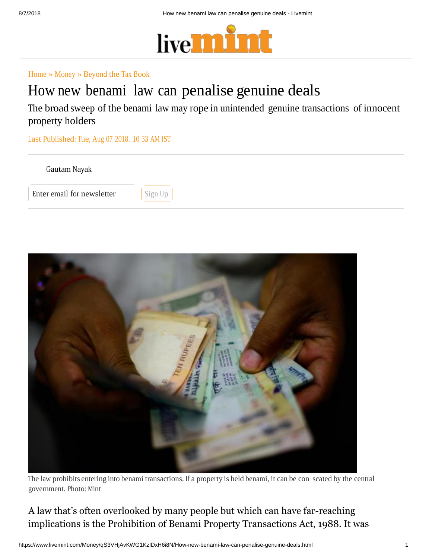

## Home » Money » Beyond the Tax Book

## How new benami law can penalise genuine deals

The broad sweep of the benami law may rope in unintended genuine transactions of innocent property holders

Last Published: Tue, Aug 07 2018. 10 33 AM IST





The law prohibits entering into benami transactions. If a property is held benami, it can be con scated by the central government. Photo: Mint

A law that's often overlooked by many people but which can have far-reaching implications is the Prohibition of Benami Property Transactions Act, 1988. It was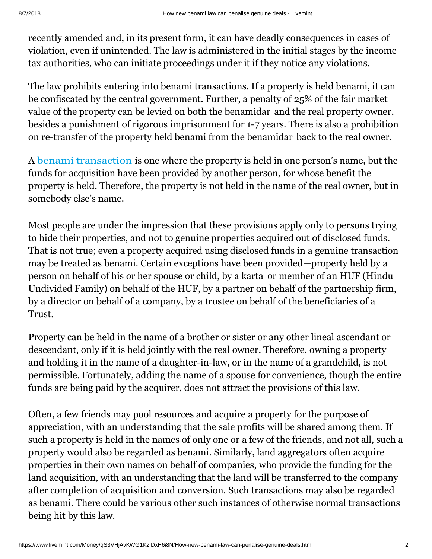recently amended and, in its present form, it can have deadly consequences in cases of violation, even if unintended. The law is administered in the initial stages by the income tax authorities, who can initiate proceedings under it if they notice any violations.

The law prohibits entering into benami transactions. If a property is held benami, it can be confiscated by the central government. Further, a penalty of 25% of the fair market value of the property can be levied on both the benamidar and the real property owner, besides a punishment of rigorous imprisonment for 1-7 years. There is also a prohibition on re-transfer of the property held benami from the benamidar back to the real owner.

A benami transaction is one where the property is held in one person's name, but the funds for acquisition have been provided by another person, for whose benefit the property is held. Therefore, the property is not held in the name of the real owner, but in somebody else's name.

Most people are under the impression that these provisions apply only to persons trying to hide their properties, and not to genuine properties acquired out of disclosed funds. That is not true; even a property acquired using disclosed funds in a genuine transaction may be treated as benami. Certain exceptions have been provided—property held by a person on behalf of his or her spouse or child, by a karta or member of an HUF (Hindu Undivided Family) on behalf of the HUF, by a partner on behalf of the partnership firm, by a director on behalf of a company, by a trustee on behalf of the beneficiaries of a Trust.

Property can be held in the name of a brother or sister or any other lineal ascendant or descendant, only if it is held jointly with the real owner. Therefore, owning a property and holding it in the name of a daughter-in-law, or in the name of a grandchild, is not permissible. Fortunately, adding the name of a spouse for convenience, though the entire funds are being paid by the acquirer, does not attract the provisions of this law.

Often, a few friends may pool resources and acquire a property for the purpose of appreciation, with an understanding that the sale profits will be shared among them. If such a property is held in the names of only one or a few of the friends, and not all, such a property would also be regarded as benami. Similarly, land aggregators often acquire properties in their own names on behalf of companies, who provide the funding for the land acquisition, with an understanding that the land will be transferred to the company after completion of acquisition and conversion. Such transactions may also be regarded as benami. There could be various other such instances of otherwise normal transactions being hit by this law.